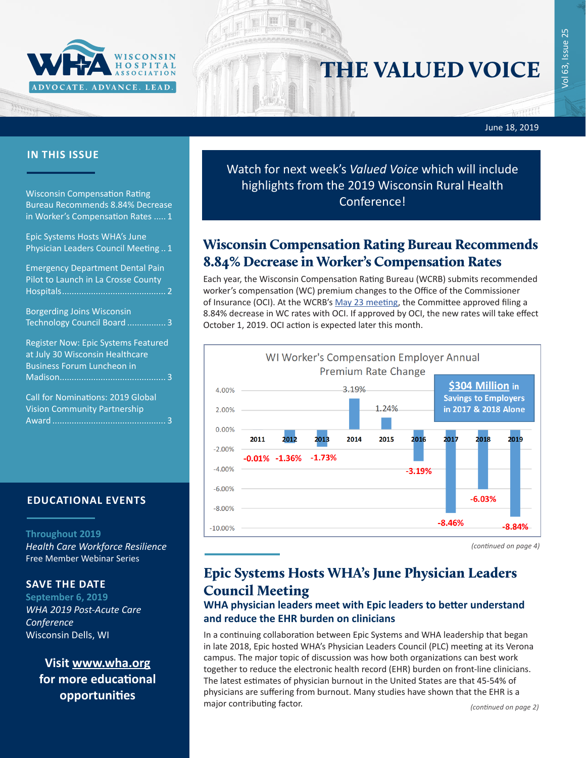

# THE VALUED VOICE

men

## June 18, 2019

## **IN THIS ISSUE**

Wisconsin Compensation Rating Bureau Recommends 8.84% Decrease in Worker's Compensation Rates ..... 1

Epic Systems Hosts WHA's June Physician Leaders Council Meeting .. 1

[Emergency Department Dental Pain](#page-1-0)  [Pilot to Launch in La Crosse County](#page-1-0)  [Hospitals...........................................](#page-1-0) 2 [Borgerding Joins Wisconsin](#page-2-0)  [Technology Council Board](#page-2-0) ................ 3 [Register Now: Epic Systems Featured](#page-2-0)  [at July 30 Wisconsin Healthcare](#page-2-0)  [Business Forum Luncheon in](#page-2-0)  [Madison............................................](#page-2-0) 3 [Call for Nominations: 2019 Global](#page-2-0)  [Vision Community Partnership](#page-2-0) 

Award [...............................................](#page-2-0) 3

**EDUCATIONAL EVENTS**

### **Throughout 2019**

*[Health Care Workforce Resilience](http://www.whareg4.org/WorkforceResilience/)* Free Member Webinar Series

## **SAVE THE DATE**

**September 6, 2019** *WHA 2019 Post-Acute Care Conference* Wisconsin Dells, WI

> **Visit [www.wha.org](https://www.wha.org) for more educational opportunities**

Watch for next week's *Valued Voice* which will include highlights from the 2019 Wisconsin Rural Health Conference!

## Wisconsin Compensation Rating Bureau Recommends 8.84% Decrease in Worker's Compensation Rates

Each year, the Wisconsin Compensation Rating Bureau (WCRB) submits recommended worker's compensation (WC) premium changes to the Office of the Commissioner of Insurance (OCI). At the WCRB's [May 23 meeting,](https://www.wcrb.org/circulars/CircularLetters2019/CIRCULAR_LETTER_3195_2019_Rate_Change_Indication.pdf) the Committee approved filing a 8.84% decrease in WC rates with OCI. If approved by OCI, the new rates will take effect October 1, 2019. OCI action is expected later this month.



*(continued on page 4)*

## Epic Systems Hosts WHA's June Physician Leaders Council Meeting

## **WHA physician leaders meet with Epic leaders to better understand and reduce the EHR burden on clinicians**

In a continuing collaboration between Epic Systems and WHA leadership that began in late 2018, Epic hosted WHA's Physician Leaders Council (PLC) meeting at its Verona campus. The major topic of discussion was how both organizations can best work together to reduce the electronic health record (EHR) burden on front-line clinicians. The latest estimates of physician burnout in the United States are that 45-54% of physicians are suffering from burnout. Many studies have shown that the EHR is a major contributing factor.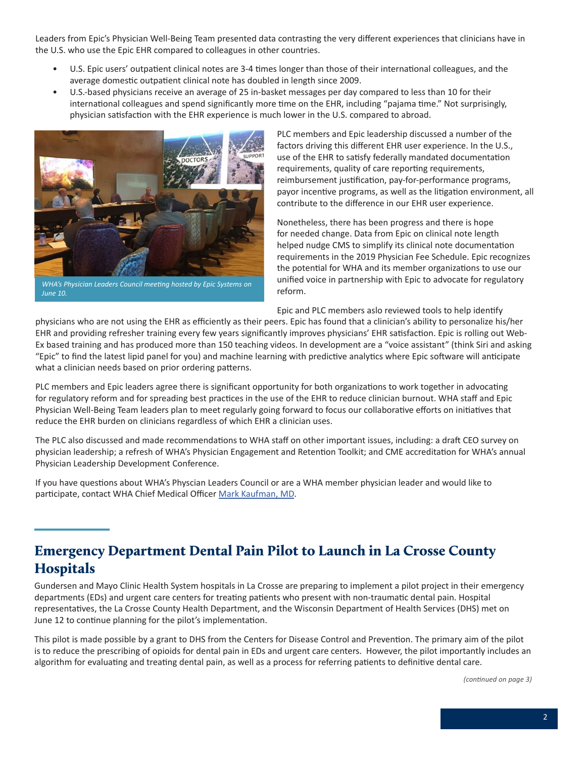<span id="page-1-0"></span>Leaders from Epic's Physician Well-Being Team presented data contrasting the very different experiences that clinicians have in the U.S. who use the Epic EHR compared to colleagues in other countries.

- U.S. Epic users' outpatient clinical notes are 3-4 times longer than those of their international colleagues, and the average domestic outpatient clinical note has doubled in length since 2009.
- U.S.-based physicians receive an average of 25 in-basket messages per day compared to less than 10 for their international colleagues and spend significantly more time on the EHR, including "pajama time." Not surprisingly, physician satisfaction with the EHR experience is much lower in the U.S. compared to abroad.



*WHA's Physician Leaders Council meeting hosted by Epic Systems on June 10.*

PLC members and Epic leadership discussed a number of the factors driving this different EHR user experience. In the U.S., use of the EHR to satisfy federally mandated documentation requirements, quality of care reporting requirements, reimbursement justification, pay-for-performance programs, payor incentive programs, as well as the litigation environment, all contribute to the difference in our EHR user experience.

Nonetheless, there has been progress and there is hope for needed change. Data from Epic on clinical note length helped nudge CMS to simplify its clinical note documentation requirements in the 2019 Physician Fee Schedule. Epic recognizes the potential for WHA and its member organizations to use our unified voice in partnership with Epic to advocate for regulatory reform.

Epic and PLC members aslo reviewed tools to help identify

physicians who are not using the EHR as efficiently as their peers. Epic has found that a clinician's ability to personalize his/her EHR and providing refresher training every few years significantly improves physicians' EHR satisfaction. Epic is rolling out Web-Ex based training and has produced more than 150 teaching videos. In development are a "voice assistant" (think Siri and asking "Epic" to find the latest lipid panel for you) and machine learning with predictive analytics where Epic software will anticipate what a clinician needs based on prior ordering patterns.

PLC members and Epic leaders agree there is significant opportunity for both organizations to work together in advocating for regulatory reform and for spreading best practices in the use of the EHR to reduce clinician burnout. WHA staff and Epic Physician Well-Being Team leaders plan to meet regularly going forward to focus our collaborative efforts on initiatives that reduce the EHR burden on clinicians regardless of which EHR a clinician uses.

The PLC also discussed and made recommendations to WHA staff on other important issues, including: a draft CEO survey on physician leadership; a refresh of WHA's Physician Engagement and Retention Toolkit; and CME accreditation for WHA's annual Physician Leadership Development Conference.

If you have questions about WHA's Physcian Leaders Council or are a WHA member physician leader and would like to participate, contact WHA Chief Medical Officer [Mark Kaufman, MD](mailto:mkaufman@wha.org).

# Emergency Department Dental Pain Pilot to Launch in La Crosse County **Hospitals**

Gundersen and Mayo Clinic Health System hospitals in La Crosse are preparing to implement a pilot project in their emergency departments (EDs) and urgent care centers for treating patients who present with non-traumatic dental pain. Hospital representatives, the La Crosse County Health Department, and the Wisconsin Department of Health Services (DHS) met on June 12 to continue planning for the pilot's implementation.

This pilot is made possible by a grant to DHS from the Centers for Disease Control and Prevention. The primary aim of the pilot is to reduce the prescribing of opioids for dental pain in EDs and urgent care centers. However, the pilot importantly includes an algorithm for evaluating and treating dental pain, as well as a process for referring patients to definitive dental care.

*(continued on page 3)*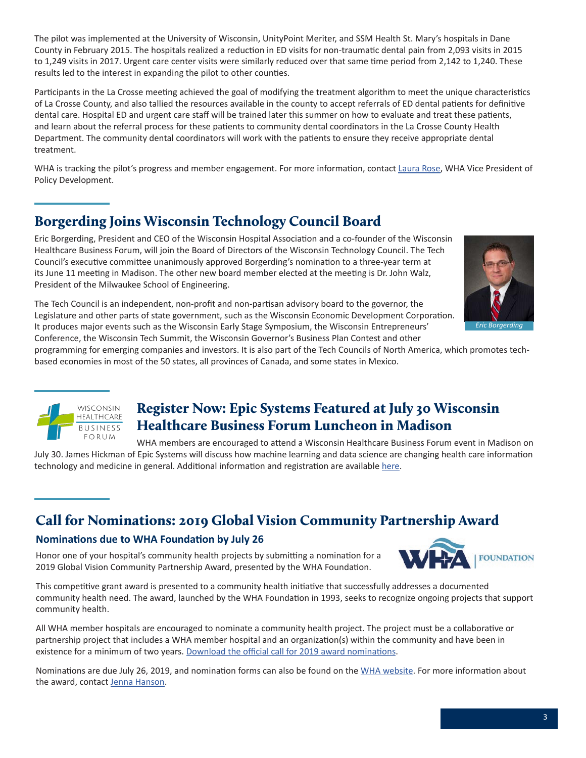<span id="page-2-0"></span>The pilot was implemented at the University of Wisconsin, UnityPoint Meriter, and SSM Health St. Mary's hospitals in Dane County in February 2015. The hospitals realized a reduction in ED visits for non-traumatic dental pain from 2,093 visits in 2015 to 1,249 visits in 2017. Urgent care center visits were similarly reduced over that same time period from 2,142 to 1,240. These results led to the interest in expanding the pilot to other counties.

Participants in the La Crosse meeting achieved the goal of modifying the treatment algorithm to meet the unique characteristics of La Crosse County, and also tallied the resources available in the county to accept referrals of ED dental patients for definitive dental care. Hospital ED and urgent care staff will be trained later this summer on how to evaluate and treat these patients, and learn about the referral process for these patients to community dental coordinators in the La Crosse County Health Department. The community dental coordinators will work with the patients to ensure they receive appropriate dental treatment.

WHA is tracking the pilot's progress and member engagement. For more information, contact [Laura Rose](mailto:lrose@wha.org), WHA Vice President of Policy Development.

# Borgerding Joins Wisconsin Technology Council Board

Eric Borgerding, President and CEO of the Wisconsin Hospital Association and a co-founder of the Wisconsin Healthcare Business Forum, will join the Board of Directors of the Wisconsin Technology Council. The Tech Council's executive committee unanimously approved Borgerding's nomination to a three-year term at its June 11 meeting in Madison. The other new board member elected at the meeting is Dr. John Walz, President of the Milwaukee School of Engineering.



The Tech Council is an independent, non-profit and non-partisan advisory board to the governor, the Legislature and other parts of state government, such as the Wisconsin Economic Development Corporation. It produces major events such as the Wisconsin Early Stage Symposium, the Wisconsin Entrepreneurs' Conference, the Wisconsin Tech Summit, the Wisconsin Governor's Business Plan Contest and other

programming for emerging companies and investors. It is also part of the Tech Councils of North America, which promotes techbased economies in most of the 50 states, all provinces of Canada, and some states in Mexico.



# Register Now: Epic Systems Featured at July 30 Wisconsin Healthcare Business Forum Luncheon in Madison

WHA members are encouraged to attend a Wisconsin Healthcare Business Forum event in Madison on July 30. James Hickman of Epic Systems will discuss how machine learning and data science are changing health care information technology and medicine in general. Additional information and registration are available [here](https://wisconsintechnologycouncil.com/event/tech-council-innovation-network-madison-luncheon-7/).

# Call for Nominations: 2019 Global Vision Community Partnership Award

## **Nominations due to WHA Foundation by July 26**

Honor one of your hospital's community health projects by submitting a nomination for a 2019 Global Vision Community Partnership Award, presented by the WHA Foundation.



This competitive grant award is presented to a community health initiative that successfully addresses a documented community health need. The award, launched by the WHA Foundation in 1993, seeks to recognize ongoing projects that support community health.

All WHA member hospitals are encouraged to nominate a community health project. The project must be a collaborative or partnership project that includes a WHA member hospital and an organization(s) within the community and have been in existence for a minimum of two years. [Download the official call for 2019 award nominations.](www.wha.org/WisconsinHospitalAssociation/media/WHACommon/Education/2019GlobalVisionAward.pdf)

Nominations are due July 26, 2019, and nomination forms can also be found on the [WHA website.](https://www.wha.org/HealthCareTopics/G/Global-Vision-Community-Partnership) For more information about the award, contact [Jenna Hanson](mailto:jenna.hanson@wha.org).